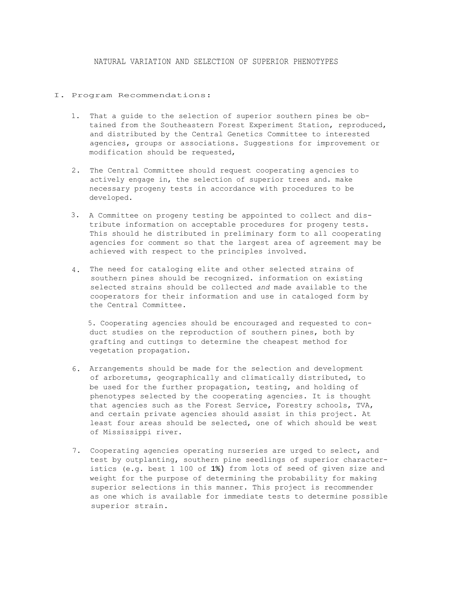## NATURAL VARIATION AND SELECTION OF SUPERIOR PHENOTYPES

## I. Program Recommendations:

- 1. That a guide to the selection of superior southern pines be obtained from the Southeastern Forest Experiment Station, reproduced, and distributed by the Central Genetics Committee to interested agencies, groups or associations. Suggestions for improvement or modification should be requested,
- 2. The Central Committee should request cooperating agencies to actively engage in, the selection of superior trees and. make necessary progeny tests in accordance with procedures to be developed.
- 3. A Committee on progeny testing be appointed to collect and distribute information on acceptable procedures for progeny tests. This should he distributed in preliminary form to all cooperating agencies for comment so that the largest area of agreement may be achieved with respect to the principles involved.
- 4. The need for cataloging elite and other selected strains of southern pines should be recognized. information on existing selected strains should be collected *and* made available to the cooperators for their information and use in cataloged form by the Central Committee.

5. Cooperating agencies should be encouraged and requested to conduct studies on the reproduction of southern pines, both by grafting and cuttings to determine the cheapest method for vegetation propagation.

- 6. Arrangements should be made for the selection and development of arboretums, geographically and climatically distributed, to be used for the further propagation, testing, and holding of phenotypes selected by the cooperating agencies. It is thought that agencies such as the Forest Service, Forestry schools, TVA, and certain private agencies should assist in this project. At least four areas should be selected, one of which should be west of Mississippi river.
- 7. Cooperating agencies operating nurseries are urged to select, and test by outplanting, southern pine seedlings of superior characteristics (e.g. best 1 100 of 1%) from lots of seed of given size and weight for the purpose of determining the probability for making superior selections in this manner. This project is recommender as one which is available for immediate tests to determine possible superior strain.